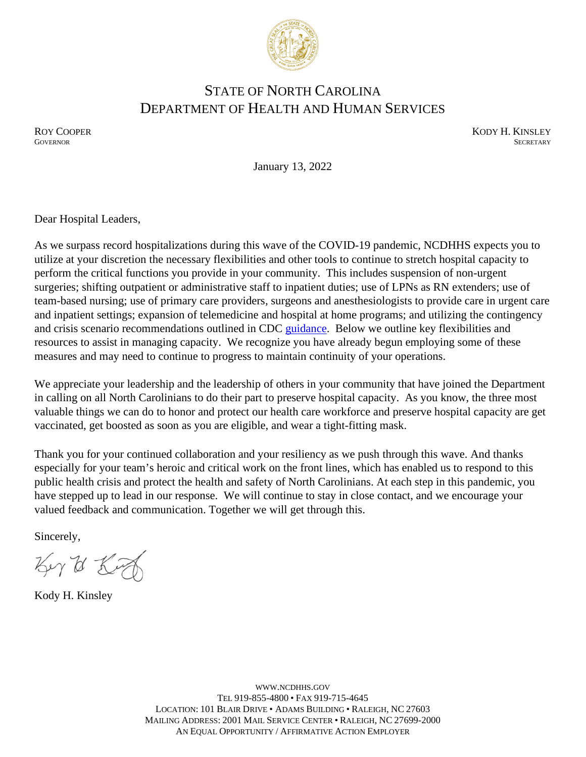

# STATE OF NORTH CAROLINA DEPARTMENT OF HEALTH AND HUMAN SERVICES

ROY COOPER KODY H. KINSLEY<br>Governor Secretary **GOVERNOR** SECRETARY SECRETARY

January 13, 2022

Dear Hospital Leaders,

As we surpass record hospitalizations during this wave of the COVID-19 pandemic, NCDHHS expects you to utilize at your discretion the necessary flexibilities and other tools to continue to stretch hospital capacity to perform the critical functions you provide in your community. This includes suspension of non-urgent surgeries; shifting outpatient or administrative staff to inpatient duties; use of LPNs as RN extenders; use of team-based nursing; use of primary care providers, surgeons and anesthesiologists to provide care in urgent care and inpatient settings; expansion of telemedicine and hospital at home programs; and utilizing the contingency and crisis scenario recommendations outlined in CDC [guidance.](https://www.cdc.gov/coronavirus/2019-ncov/hcp/guidance-risk-assesment-hcp.html) Below we outline key flexibilities and resources to assist in managing capacity. We recognize you have already begun employing some of these measures and may need to continue to progress to maintain continuity of your operations.

We appreciate your leadership and the leadership of others in your community that have joined the Department in calling on all North Carolinians to do their part to preserve hospital capacity. As you know, the three most valuable things we can do to honor and protect our health care workforce and preserve hospital capacity are get vaccinated, get boosted as soon as you are eligible, and wear a tight-fitting mask.

Thank you for your continued collaboration and your resiliency as we push through this wave. And thanks especially for your team's heroic and critical work on the front lines, which has enabled us to respond to this public health crisis and protect the health and safety of North Carolinians. At each step in this pandemic, you have stepped up to lead in our response. We will continue to stay in close contact, and we encourage your valued feedback and communication. Together we will get through this.

Sincerely,

Key & Kie

Kody H. Kinsley

[WWW.NCDHHS.GOV](http://www.ncdhhs.gov/) TEL 919-855-4800 • FAX 919-715-4645 LOCATION: 101 BLAIR DRIVE • ADAMS BUILDING • RALEIGH, NC 27603 MAILING ADDRESS: 2001 MAIL SERVICE CENTER • RALEIGH, NC 27699-2000 AN EQUAL OPPORTUNITY / AFFIRMATIVE ACTION EMPLOYER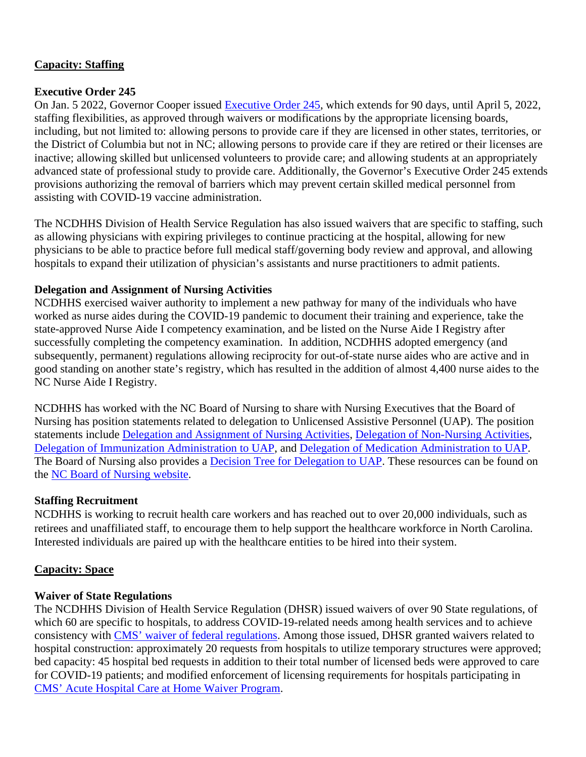# **Capacity: Staffing**

#### **Executive Order 245**

On Jan. 5 2022, Governor Cooper issued [Executive Order 245,](https://governor.nc.gov/media/2906/open) which extends for 90 days, until April 5, 2022, staffing flexibilities, as approved through waivers or modifications by the appropriate licensing boards, including, but not limited to: allowing persons to provide care if they are licensed in other states, territories, or the District of Columbia but not in NC; allowing persons to provide care if they are retired or their licenses are inactive; allowing skilled but unlicensed volunteers to provide care; and allowing students at an appropriately advanced state of professional study to provide care. Additionally, the Governor's Executive Order 245 extends provisions authorizing the removal of barriers which may prevent certain skilled medical personnel from assisting with COVID-19 vaccine administration.

The NCDHHS Division of Health Service Regulation has also issued waivers that are specific to staffing, such as allowing physicians with expiring privileges to continue practicing at the hospital, allowing for new physicians to be able to practice before full medical staff/governing body review and approval, and allowing hospitals to expand their utilization of physician's assistants and nurse practitioners to admit patients.

# **Delegation and Assignment of Nursing Activities**

NCDHHS exercised waiver authority to implement a new pathway for many of the individuals who have worked as nurse aides during the COVID-19 pandemic to document their training and experience, take the state-approved Nurse Aide I competency examination, and be listed on the Nurse Aide I Registry after successfully completing the competency examination. In addition, NCDHHS adopted emergency (and subsequently, permanent) regulations allowing reciprocity for out-of-state nurse aides who are active and in good standing on another state's registry, which has resulted in the addition of almost 4,400 nurse aides to the NC Nurse Aide I Registry.

NCDHHS has worked with the NC Board of Nursing to share with Nursing Executives that the Board of Nursing has position statements related to delegation to Unlicensed Assistive Personnel (UAP). The position statements include [Delegation and Assignment of Nursing Activities,](https://www.ncbon.com/myfiles/downloads/position-statements-decision-trees/delegation-and-assignment-of-nursing-activities-20210922.pdf) [Delegation of Non-Nursing Activities,](https://www.ncbon.com/vdownloads/position-statements-decision-trees/delegation-non-nursing-functions.pdf) [Delegation of Immunization Administration to UAP,](https://www.ncbon.com/vdownloads/position-statements-decision-trees/delegation-of-immunization-administration.pdf) and [Delegation of Medication Administration to UAP.](https://www.ncbon.com/myfiles/downloads/position-statements-decision-trees/delegation-of-meds-admin-to-uap-20210922.pdf) The Board of Nursing also provides a [Decision Tree for Delegation to UAP.](https://www.ncbon.com/vdownloads/position-statements-decision-trees/decision-tree-delegation-to-uap.pdf) These resources can be found on the [NC Board of Nursing website.](https://www.ncbon.com/practice-position-statements-decisions-trees)

# **Staffing Recruitment**

NCDHHS is working to recruit health care workers and has reached out to over 20,000 individuals, such as retirees and unaffiliated staff, to encourage them to help support the healthcare workforce in North Carolina. Interested individuals are paired up with the healthcare entities to be hired into their system.

# **Capacity: Space**

# **Waiver of State Regulations**

The NCDHHS Division of Health Service Regulation (DHSR) issued waivers of over 90 State regulations, of which 60 are specific to hospitals, to address COVID-19-related needs among health services and to achieve consistency with [CMS' waiver of federal regulations.](https://www.cms.gov/files/document/summary-covid-19-emergency-declaration-waivers.pdf) Among those issued, DHSR granted waivers related to hospital construction: approximately 20 requests from hospitals to utilize temporary structures were approved; bed capacity: 45 hospital bed requests in addition to their total number of licensed beds were approved to care for COVID-19 patients; and modified enforcement of licensing requirements for hospitals participating in [CMS' Acute Hospital Care at Home Waiver Program.](https://medicaid.ncdhhs.gov/blog/2021/12/10/special-bulletin-covid-19-202-extension-hospital-home-program)